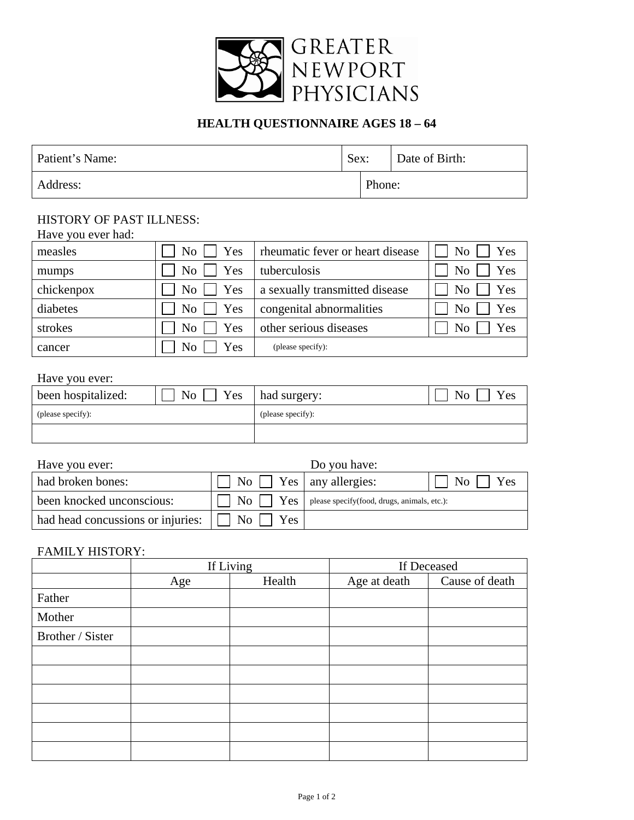

# **HEALTH QUESTIONNAIRE AGES 18 – 64**

| Patient's Name: | Sex: |        | Date of Birth: |
|-----------------|------|--------|----------------|
| Address:        |      | Phone: |                |

#### HISTORY OF PAST ILLNESS:

| Have you ever had: |                               |                                  |                             |
|--------------------|-------------------------------|----------------------------------|-----------------------------|
| measles            | $\overline{N_0}$    <br>Yes   | rheumatic fever or heart disease | $\overline{N_0}$    <br>Yes |
| mumps              | $\overline{N_{0}}$<br>Yes     | tuberculosis                     | Yes<br>No.                  |
| chickenpox         | $\overline{N_{O}}$    <br>Yes | a sexually transmitted disease   | No<br>Yes                   |
| diabetes           | $\mathrm{No}$    <br>Yes      | congenital abnormalities         | Yes<br>No.                  |
| strokes            | No <sub>1</sub><br>Yes        | other serious diseases           | No<br>Yes                   |
| cancer             | N <sub>o</sub><br>Yes         | (please specify):                |                             |

# Have you ever:

| been hospitalized: | Yes<br>N <sub>o</sub> | had surgery:      | <b>No</b><br>Yes |
|--------------------|-----------------------|-------------------|------------------|
| (please specify):  |                       | (please specify): |                  |
|                    |                       |                   |                  |

| Have you ever:                                                                           |                                       | Do you have:                                                            |                           |
|------------------------------------------------------------------------------------------|---------------------------------------|-------------------------------------------------------------------------|---------------------------|
| had broken bones:                                                                        | $\Box$ No $\Box$ Yes   any allergies: |                                                                         | Yes<br>$\overline{N_{O}}$ |
| been knocked unconscious:                                                                |                                       | $\Box$ No $\Box$ Yes $\Box$ please specify(food, drugs, animals, etc.): |                           |
| had head concussions or injuries: $\lfloor \cdot \rfloor$ No $\lfloor \cdot \rfloor$ Yes |                                       |                                                                         |                           |

### FAMILY HISTORY:

|                  |     | If Living | If Deceased  |                |  |  |
|------------------|-----|-----------|--------------|----------------|--|--|
|                  | Age | Health    | Age at death | Cause of death |  |  |
| Father           |     |           |              |                |  |  |
| Mother           |     |           |              |                |  |  |
| Brother / Sister |     |           |              |                |  |  |
|                  |     |           |              |                |  |  |
|                  |     |           |              |                |  |  |
|                  |     |           |              |                |  |  |
|                  |     |           |              |                |  |  |
|                  |     |           |              |                |  |  |
|                  |     |           |              |                |  |  |